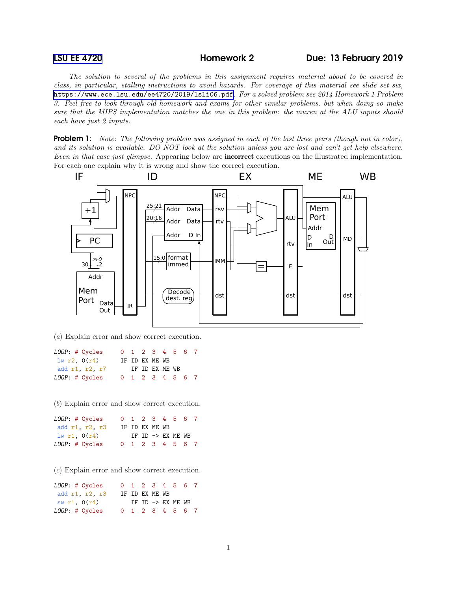*The solution to several of the problems in this assignment requires material about to be covered in class, in particular, stalling instructions to avoid hazards. For coverage of this material see slide set six,* <https://www.ece.lsu.edu/ee4720/2019/lsli06.pdf>*. For a solved problem see 2014 Homework 1 Problem 3. Feel free to look through old homework and exams for other similar problems, but when doing so make sure that the MIPS implementation matches the one in this problem: the muxen at the ALU inputs should each have just 2 inputs.*

Problem 1: *Note: The following problem was assigned in each of the last three years (though not in color), and its solution is available. DO NOT look at the solution unless you are lost and can't get help elsewhere. Even in that case just glimpse.* Appearing below are incorrect executions on the illustrated implementation. For each one explain why it is wrong and show the correct execution.



(*a*) Explain error and show correct execution.

| LOOP: # Cycles |  |                | 0 1 2 3 4 5 6 7 |  |  |
|----------------|--|----------------|-----------------|--|--|
| 1w r2, 0(r4)   |  | IF ID EX ME WB |                 |  |  |
| add r1, r2, r7 |  |                | IF ID EX ME WB  |  |  |
| LOOP: # Cycles |  |                | 0 1 2 3 4 5 6 7 |  |  |

(*b*) Explain error and show correct execution.

| LOOP: # Cycles |  |                | 0 1 2 3 4 5 6 7              |  |
|----------------|--|----------------|------------------------------|--|
| add r1, r2, r3 |  | IF ID EX ME WB |                              |  |
| 1w r1, 0(r4)   |  |                | IF ID $\rightarrow$ EX ME WB |  |
| LOOP: # Cycles |  |                | 0 1 2 3 4 5 6 7              |  |

(*c*) Explain error and show correct execution.

| LOOP: # Cycles |  |                | 0 1 2 3 4 5 6 7   |  |  |
|----------------|--|----------------|-------------------|--|--|
| add r1, r2, r3 |  | IF ID EX ME WB |                   |  |  |
| sw r1, $0(r4)$ |  |                | IF ID -> EX ME WB |  |  |
| LOOP: # Cycles |  |                | 0 1 2 3 4 5 6 7   |  |  |